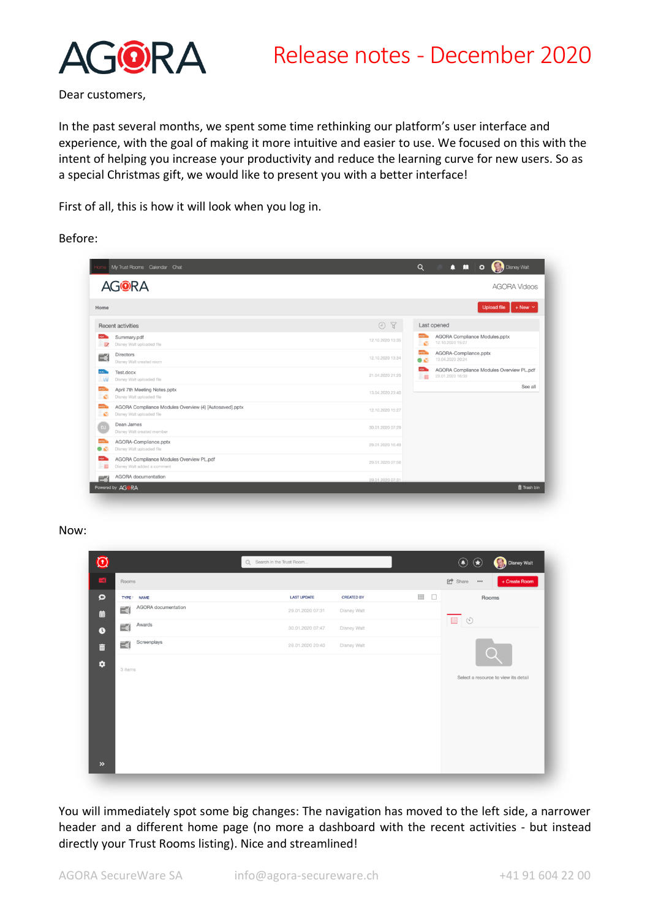

Dear customers,

In the past several months, we spent some time rethinking our platform's user interface and experience, with the goal of making it more intuitive and easier to use. We focused on this with the intent of helping you increase your productivity and reduce the learning curve for new users. So as a special Christmas gift, we would like to present you with a better interface!

First of all, this is how it will look when you log in.

Before:

| My Trust Rooms Calendar Chat                                                             | Q<br>Disney Walt<br>п<br>n<br>$\circ$                                                         |                |
|------------------------------------------------------------------------------------------|-----------------------------------------------------------------------------------------------|----------------|
| <b>AGORA</b>                                                                             | <b>AGORA Videos</b>                                                                           |                |
| Home                                                                                     | <b>Upload file</b>                                                                            | $+$ New $\vee$ |
| <b>Recent activities</b>                                                                 | $O$ $R$<br>Last opened                                                                        |                |
| Summary.pdf<br>Disney Walt uploaded file                                                 | AGORA Compliance Modules.pptx<br>12.10.2020 13:35<br>12.10.2020 15:27<br><b>ST</b>            |                |
| <b>Directors</b><br>∃≼<br>Disney Walt created room                                       | AGORA-Compliance.pptx<br>12.10.2020 13:34<br>13.04.2020 20:24<br>63                           |                |
| Test.docx<br>looc."<br>Disney Walt uploaded file                                         | AGORA Compliance Modules Overview PL.pdf<br>POF<br>21.04.2020 21:25<br>29.01.2020 16:39<br>三国 |                |
| April 7th Meeting Notes.pptx<br>Disney Walt uploaded file                                | 13.04.2020 23:40                                                                              | See all        |
| AGORA Compliance Modules Overview (4) [Autosaved].pptx<br>Disney Walt uploaded file<br>w | 12.10.2020 15:27                                                                              |                |
| Dean James<br>Disney Walt created member                                                 | 30.01.2020 07:29                                                                              |                |
| AGORA-Compliance.pptx<br>Disney Walt uploaded file                                       | 29.01.2020 16:49                                                                              |                |
| AGORA Compliance Modules Overview PL.pdf<br><b>PDF</b><br>Disney Walt added a comment    | 29.01.2020 07:56                                                                              |                |
| AGORA documentation<br>$=$                                                               | 29.01.2020.07:31                                                                              |                |

#### Now:

| $\overline{\mathfrak{O}}$             | Q Search in the Trust Room              | $\bigcirc$<br>Disney Walt<br>$\left( \bigstar \right)$ |
|---------------------------------------|-----------------------------------------|--------------------------------------------------------|
| $-4$<br>Rooms                         |                                         | G <sup> Share</sup><br>$+$ Create Room<br>             |
| $\bullet$<br>TYPE 1 NAME              | <b>LAST UPDATE</b><br><b>CREATED BY</b> | $\mathbb{H}$<br>$\Box$<br>Rooms                        |
| AGORA documentation<br>$\equiv$<br>曲  | 29.01.2020 07:31<br>Disney Walt         |                                                        |
| Awards<br>$\equiv$<br>$\bullet$       | 30.01.2020 07:47<br>Disney Walt         |                                                        |
| Screenplays<br>≔≼ <br>面               | 28.01.2020 20:40<br>Disney Walt         |                                                        |
| $\bullet$<br>3 items<br>$\rightarrow$ |                                         | Select a resource to view its detail                   |

You will immediately spot some big changes: The navigation has moved to the left side, a narrower header and a different home page (no more a dashboard with the recent activities - but instead directly your Trust Rooms listing). Nice and streamlined!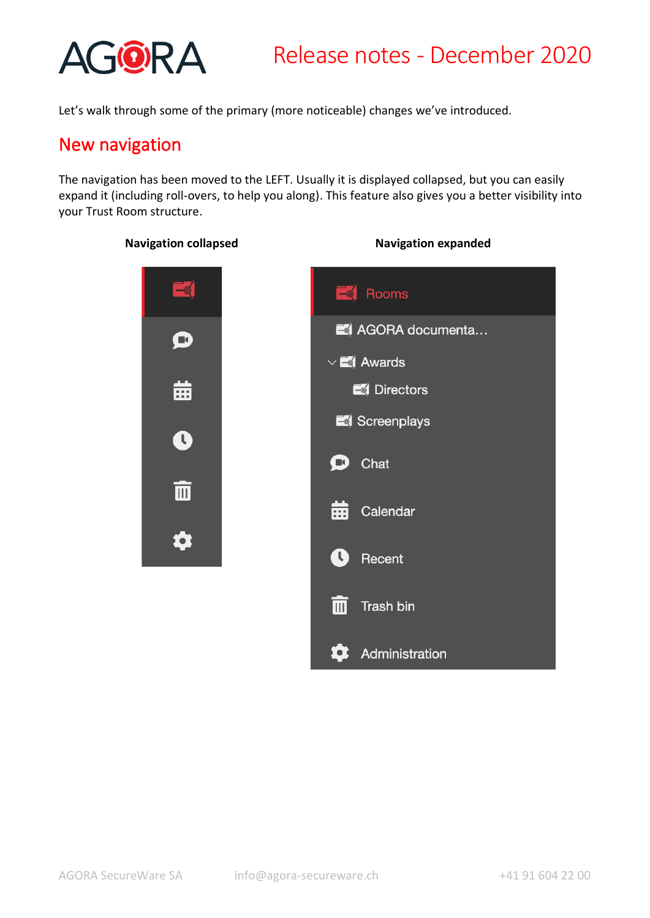

Let's walk through some of the primary (more noticeable) changes we've introduced.

### New navigation

The navigation has been moved to the LEFT. Usually it is displayed collapsed, but you can easily expand it (including roll-overs, to help you along). This feature also gives you a better visibility into your Trust Room structure.

#### **Navigation collapsed Navigation expanded**



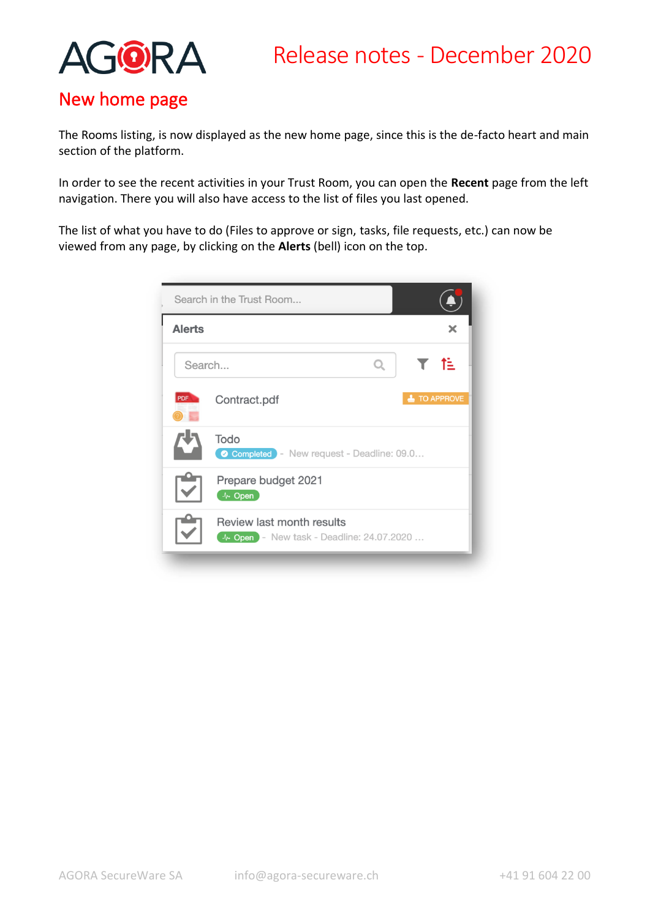

## New home page

The Rooms listing, is now displayed as the new home page, since this is the de-facto heart and main section of the platform.

In order to see the recent activities in your Trust Room, you can open the **Recent** page from the left navigation. There you will also have access to the list of files you last opened.

The list of what you have to do (Files to approve or sign, tasks, file requests, etc.) can now be viewed from any page, by clicking on the **Alerts** (bell) icon on the top.

| Search in the Trust Room                                               |                        |
|------------------------------------------------------------------------|------------------------|
| <b>Alerts</b>                                                          | х                      |
| $\Omega$<br>Search                                                     | া≣                     |
| PDF<br>Contract.pdf                                                    | <b>TO APPROVE</b><br>┻ |
| Todo<br>Completed - New request - Deadline: 09.0                       |                        |
| Prepare budget 2021<br>4. Open                                         |                        |
| Review last month results<br>4. Open - New task - Deadline: 24.07.2020 |                        |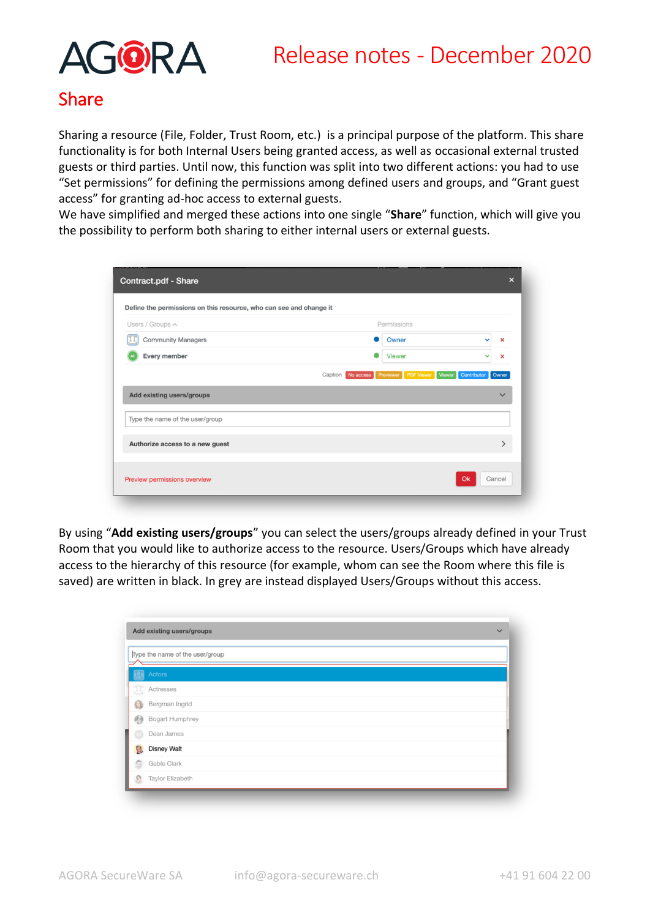# Release notes - December 2020



## Share

Sharing a resource (File, Folder, Trust Room, etc.) is a principal purpose of the platform. This share functionality is for both Internal Users being granted access, as well as occasional external trusted guests or third parties. Until now, this function was split into two different actions: you had to use "Set permissions" for defining the permissions among defined users and groups, and "Grant guest access" for granting ad-hoc access to external guests.

We have simplified and merged these actions into one single "**Share**" function, which will give you the possibility to perform both sharing to either internal users or external guests.

| Users / Groups A                | Permissions   |              |   |
|---------------------------------|---------------|--------------|---|
| <b>Community Managers</b>       | Owner         | $\checkmark$ | × |
| Every member                    | <b>Viewer</b> | $\checkmark$ | × |
| Type the name of the user/group |               |              |   |
|                                 |               |              |   |

By using "**Add existing users/groups**" you can select the users/groups already defined in your Trust Room that you would like to authorize access to the resource. Users/Groups which have already access to the hierarchy of this resource (for example, whom can see the Room where this file is saved) are written in black. In grey are instead displayed Users/Groups without this access.

|    | Add existing users/groups<br>$\checkmark$ |
|----|-------------------------------------------|
|    | Type the name of the user/group           |
|    | Actors                                    |
| ΩŢ | Actresses                                 |
| CE | Bergman Ingrid                            |
| 图  | Bogart Humphrey                           |
|    | Dean James                                |
| g, | <b>Disney Walt</b>                        |
| 9  | Gable Clark                               |
| O  | Taylor Elizabeth                          |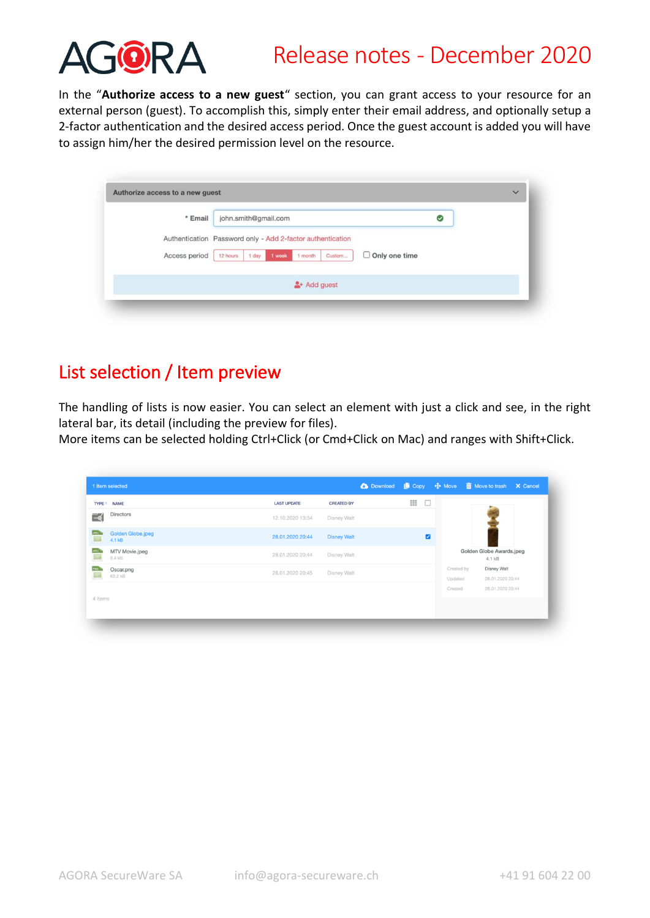

## Release notes - December 2020

In the "**Authorize access to a new guest**" section, you can grant access to your resource for an external person (guest). To accomplish this, simply enter their email address, and optionally setup a 2-factor authentication and the desired access period. Once the guest account is added you will have to assign him/her the desired permission level on the resource.

| * Email       | john.smith@gmail.com |                                                            |                      | ☑ |  |
|---------------|----------------------|------------------------------------------------------------|----------------------|---|--|
|               |                      | Authentication Password only - Add 2-factor authentication |                      |   |  |
| Access period | 1 day<br>12 hours    | Custom<br>1 week<br>1 month                                | $\Box$ Only one time |   |  |
|               |                      | $2 +$ Add guest                                            |                      |   |  |

## List selection / Item preview

The handling of lists is now easier. You can select an element with just a click and see, in the right lateral bar, its detail (including the preview for files).

More items can be selected holding Ctrl+Click (or Cmd+Click on Mac) and ranges with Shift+Click.

| 1 item selected                                           |                    |                    | C Download L Copy + Move m Move to trash X Cancel |             |                       |                                        |  |
|-----------------------------------------------------------|--------------------|--------------------|---------------------------------------------------|-------------|-----------------------|----------------------------------------|--|
| TYPE 1 NAME                                               | <b>LAST UPDATE</b> | <b>CREATED BY</b>  |                                                   | ₩<br>$\Box$ |                       |                                        |  |
| Directors<br>₹                                            | 12.10.2020 13:34   | Disney Walt        |                                                   |             |                       |                                        |  |
| <b>JPEC</b><br>Golden Globe.jpeg<br>$\geq$<br>4.1 kB      | 28.01.2020 20:44   | <b>Disney Walt</b> |                                                   | Z           |                       |                                        |  |
| <b>JPEC</b><br>MTV Movie.jpeg<br>$\mathbb{R}^n$<br>8.4 kB | 28.01.2020 20:44   | Disney Walt        |                                                   |             |                       | Golden Globe Awards.jpeg<br>4.1 kB     |  |
| Oscar.png<br>63.2 kB                                      | 28.01.2020 20:45   | Disney Walt        |                                                   |             | Created by<br>Updated | <b>Disney Walt</b><br>28.01.2020 20:44 |  |
|                                                           |                    |                    |                                                   |             | Created               | 28.01.2020 20:44                       |  |
| 4 items                                                   |                    |                    |                                                   |             |                       |                                        |  |